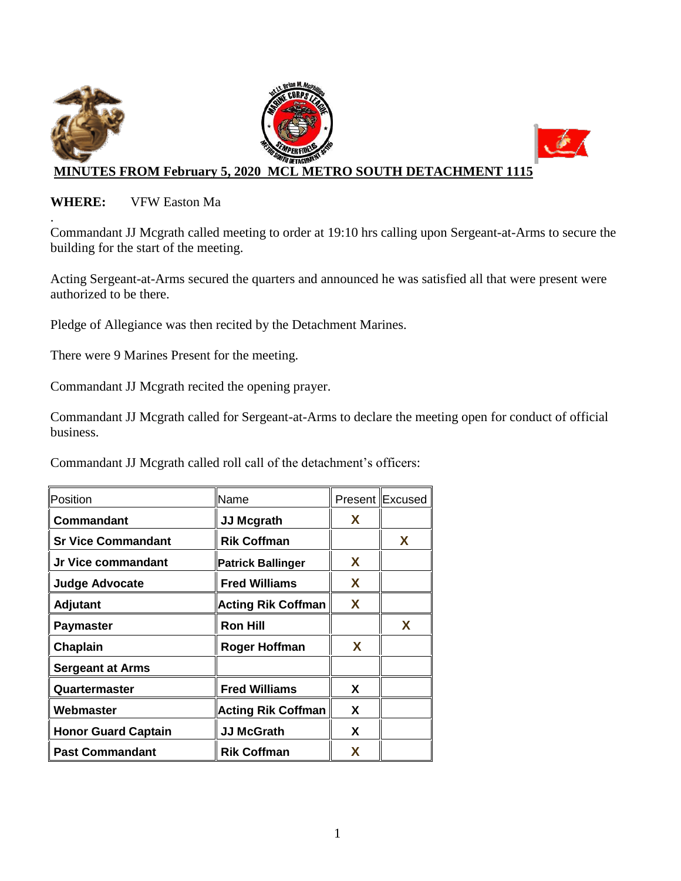

#### **WHERE:** VFW Easton Ma

. Commandant JJ Mcgrath called meeting to order at 19:10 hrs calling upon Sergeant-at-Arms to secure the building for the start of the meeting.

Acting Sergeant-at-Arms secured the quarters and announced he was satisfied all that were present were authorized to be there.

Pledge of Allegiance was then recited by the Detachment Marines.

There were 9 Marines Present for the meeting.

Commandant JJ Mcgrath recited the opening prayer.

Commandant JJ Mcgrath called for Sergeant-at-Arms to declare the meeting open for conduct of official business.

Commandant JJ Mcgrath called roll call of the detachment's officers:

| Position                   | Name                      |    | Present Excused |
|----------------------------|---------------------------|----|-----------------|
| Commandant                 | <b>JJ Mcgrath</b>         | X. |                 |
| <b>Sr Vice Commandant</b>  | <b>Rik Coffman</b>        |    | X               |
| Jr Vice commandant         | <b>Patrick Ballinger</b>  | X  |                 |
| <b>Judge Advocate</b>      | <b>Fred Williams</b>      | X  |                 |
| <b>Adjutant</b>            | <b>Acting Rik Coffman</b> | X  |                 |
| <b>Paymaster</b>           | <b>Ron Hill</b>           |    | X               |
| Chaplain                   | <b>Roger Hoffman</b>      | X  |                 |
| <b>Sergeant at Arms</b>    |                           |    |                 |
| Quartermaster              | <b>Fred Williams</b>      | X  |                 |
| Webmaster                  | <b>Acting Rik Coffman</b> | X  |                 |
| <b>Honor Guard Captain</b> | <b>JJ McGrath</b>         | X  |                 |
| <b>Past Commandant</b>     | <b>Rik Coffman</b>        | X  |                 |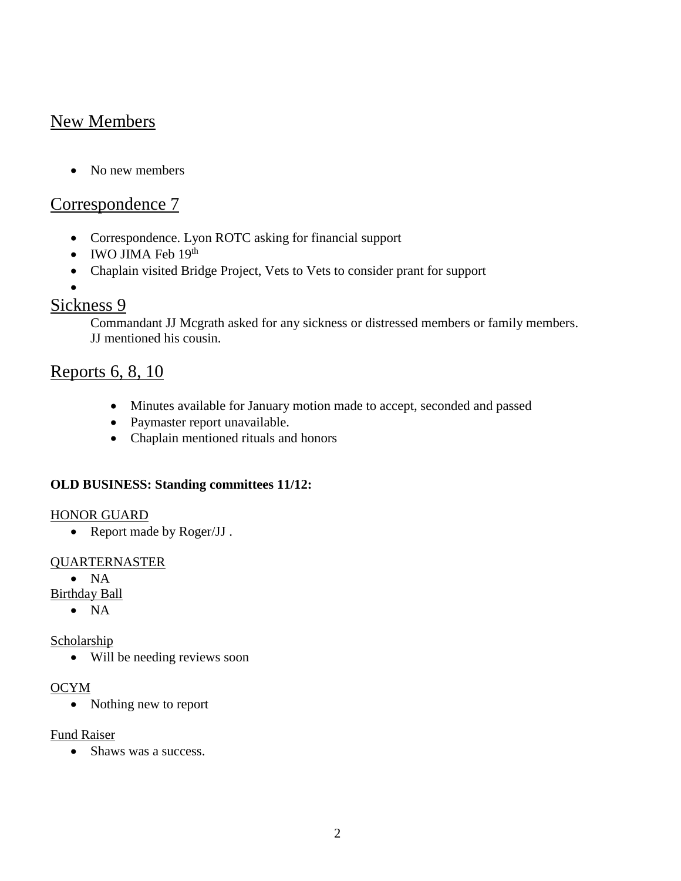# New Members

• No new members

## Correspondence 7

- Correspondence. Lyon ROTC asking for financial support
- $\bullet$  IWO JIMA Feb  $19<sup>th</sup>$
- Chaplain visited Bridge Project, Vets to Vets to consider prant for support
- $\bullet$

## Sickness 9

Commandant JJ Mcgrath asked for any sickness or distressed members or family members. JJ mentioned his cousin.

## Reports 6, 8, 10

- Minutes available for January motion made to accept, seconded and passed
- Paymaster report unavailable.
- Chaplain mentioned rituals and honors

## **OLD BUSINESS: Standing committees 11/12:**

#### HONOR GUARD

• Report made by Roger/JJ.

#### QUARTERNASTER

 $\bullet$  NA

Birthday Ball

 $\bullet$  NA

## Scholarship

Will be needing reviews soon

## OCYM

• Nothing new to report

Fund Raiser

• Shaws was a success.